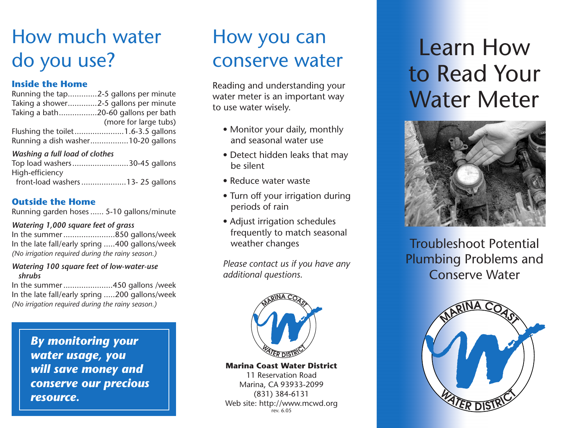## How much water do you use?

### **Inside the Home**

| Running the tap2-5 gallons per minute |                       |
|---------------------------------------|-----------------------|
| Taking a shower2-5 gallons per minute |                       |
| Taking a bath20-60 gallons per bath   |                       |
|                                       | (more for large tubs) |
|                                       |                       |
| Running a dish washer10-20 gallons    |                       |

### *Washing a full load of clothes*

| Top load washers30-45 gallons   |  |
|---------------------------------|--|
| High-efficiency                 |  |
| front-load washers13-25 gallons |  |

### **Outside the Home**

Running garden hoses...... 5-10 gallons/minute

#### *Watering 1,000 square feet of grass*

In the summer.......................850 gallons/week In the late fall/early spring .....400 gallons/week *(No irrigation required during the rainy season.)*

#### *Watering 100 square feet of low-water-use shrubs*

In the summer......................450 gallons /week In the late fall/early spring .....200 gallons/week *(No irrigation required during the rainy season.)*

> *By monitoring your water usage, you will save money and conserve our precious resource.*

## How you can conserve water

Reading and understanding your water meter is an important way to use water wisely.

- Monitor your daily, monthly and seasonal water use
- Detect hidden leaks that may be silent
- Reduce water waste
- Turn off your irrigation during periods of rain
- Adjust irrigation schedules frequently to match seasonal weather changes

*Please contact us if you have any additional questions.*



#### **Marina Coast Water District**

11 Reservation Road Marina, CA 93933-2099 (831) 384-6131 Web site: http://www.mcwd.org rev. 6.05

# Learn How to Read Your Water Meter



Troubleshoot Potential Plumbing Problems and Conserve Water